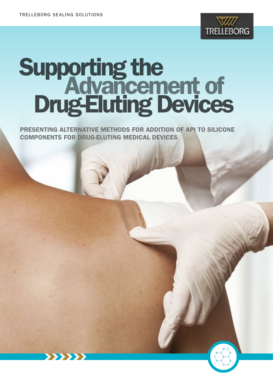

# Supporting the Drug-Eluting Devices Advancement of

PRESENTING ALTERNATIVE METHODS FOR ADDITION OF API TO SILICONE COMPONENTS FOR DRUG-ELUTING MEDICAL DEVICES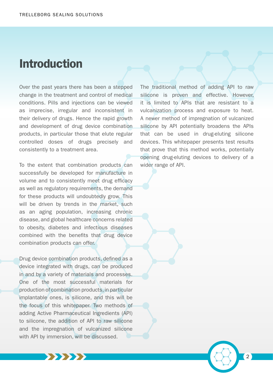# Introduction

Over the past years there has been a stepped change in the treatment and control of medical conditions. Pills and injections can be viewed as imprecise, irregular and inconsistent in their delivery of drugs. Hence the rapid growth and development of drug device combination products, in particular those that elute regular controlled doses of drugs precisely and consistently to a treatment area.

To the extent that combination products can successfully be developed for manufacture in volume and to consistently meet drug efficacy as well as regulatory requirements, the demand for these products will undoubtedly grow. This will be driven by trends in the market, such as an aging population, increasing chronic disease, and global healthcare concerns related to obesity, diabetes and infectious diseases combined with the benefits that drug device combination products can offer.

Drug device combination products, defined as a device integrated with drugs, can be produced in and by a variety of materials and processes. One of the most successful materials for production of combination products, in particular implantable ones, is silicone, and this will be the focus of this whitepaper. Two methods of adding Active Pharmaceutical Ingredients (API) to silicone, the addition of API to raw silicone and the impregnation of vulcanized silicone with API by immersion, will be discussed.

XXXXXX

The traditional method of adding API to raw silicone is proven and effective. However, it is limited to APIs that are resistant to a vulcanization process and exposure to heat. A newer method of impregnation of vulcanized silicone by API potentially broadens the APIs that can be used in drug-eluting silicone devices. This whitepaper presents test results that prove that this method works, potentially opening drug-eluting devices to delivery of a wider range of API.

 $\overline{2}$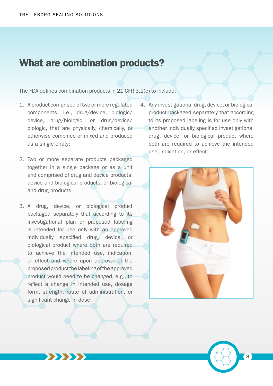#### What are combination products?

The FDA defines combination products in 21 CFR 3.2(e) to include:

- 1. A product comprised of two or more regulated components, i.e., drug/device, biologic/ device, drug/biologic, or drug/device/ biologic, that are physically, chemically, or otherwise combined or mixed and produced as a single entity;
- 2. Two or more separate products packaged together in a single package or as a unit and comprised of drug and device products, device and biological products, or biological and drug products;
- 3. A drug, device, or biological product packaged separately that according to its investigational plan or proposed labeling is intended for use only with an approved individually specified drug, device, or biological product where both are required to achieve the intended use, indication, or effect and where upon approval of the proposed product the labeling of the approved product would need to be changed, e.g., to reflect a change in intended use, dosage form, strength, route of administration, or significant change in dose.

 $\rightarrow$ 

4. Any investigational drug, device, or biological product packaged separately that according to its proposed labeling is for use only with another individually specified investigational drug, device, or biological product where both are required to achieve the intended use, indication, or effect.

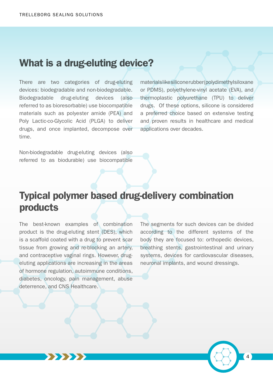#### What is a drug-eluting device?

There are two categories of drug-eluting devices: biodegradable and non-biodegradable. Biodegradable drug-eluting devices (also referred to as bioresorbable) use biocompatible materials such as polyester amide (PEA) and Poly Lactic-co-Glycolic Acid (PLGA) to deliver drugs, and once implanted, decompose over time.

materials like silicone rubber (polydimethylsiloxane or PDMS), polyethylene-vinyl acetate (EVA), and thermoplastic polyurethane (TPU) to deliver drugs. Of these options, silicone is considered a preferred choice based on extensive testing and proven results in healthcare and medical applications over decades.

Non-biodegradable drug-eluting devices (also referred to as biodurable) use biocompatible

# Typical polymer based drug-delivery combination products

The best-known examples of combination product is the drug-eluting stent (DES), which is a scaffold coated with a drug to prevent scar tissue from growing and re-blocking an artery, and contraceptive vaginal rings. However, drugeluting applications are increasing in the areas of hormone regulation, autoimmune conditions, diabetes, oncology, pain management, abuse deterrence, and CNS Healthcare.

**>>>>>>** 

The segments for such devices can be divided according to the different systems of the body they are focused to: orthopedic devices, breathing stents, gastrointestinal and urinary systems, devices for cardiovascular diseases, neuronal implants, and wound dressings.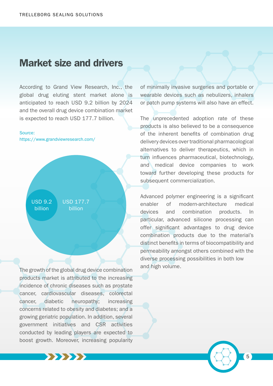#### Market size and drivers

According to Grand View Research, Inc., the global drug eluting stent market alone is anticipated to reach USD 9.2 billion by 2024 and the overall drug device combination market is expected to reach USD 177.7 billion.

#### Source:

https://www.grandviewresearch.com/

USD 9.2 billion

USD 177.7 billion

The growth of the global drug device combination products market is attributed to the increasing incidence of chronic diseases such as prostate cancer, cardiovascular diseases, colorectal cancer, diabetic neuropathy; increasing concerns related to obesity and diabetes; and a growing geriatric population. In addition, several government initiatives and CSR activities conducted by leading players are expected to boost growth. Moreover, increasing popularity

**\*\*\*\*\*\*** 

of minimally invasive surgeries and portable or wearable devices such as nebulizers, inhalers or patch pump systems will also have an effect.

The unprecedented adoption rate of these products is also believed to be a consequence of the inherent benefits of combination drug delivery devices over traditional pharmacological alternatives to deliver therapeutics, which in turn influences pharmaceutical, biotechnology, and medical device companies to work toward further developing these products for subsequent commercialization.

Advanced polymer engineering is a significant enabler of modern-architecture medical devices and combination products. In particular, advanced silicone processing can offer significant advantages to drug device combination products due to the material's distinct benefits in terms of biocompatibility and permeability amongst others combined with the diverse processing possibilities in both low and high volume.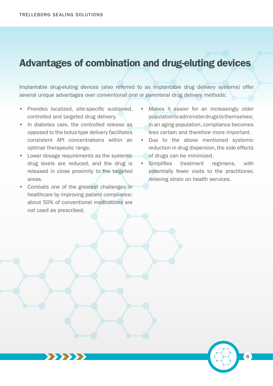### Advantages of combination and drug-eluting devices

Implantable drug-eluting devices (also referred to as implantable drug delivery systems) offer several unique advantages over conventional oral or parenteral drug delivery methods:

- Provides localized, site-specific sustained, controlled and targeted drug delivery.
- In diabetes care, the controlled release as opposed to the bolus-type delivery facilitates consistent API concentrations within an optimal therapeutic range.
- Lower dosage requirements as the systemic drug levels are reduced, and the drug is released in close proximity to the targeted areas.
- Combats one of the greatest challenges in healthcare by improving patient compliance; about 50% of conventional medications are not used as prescribed.

 $\rightarrow$ 

- Makes it easier for an increasingly older population to administer drugs to themselves; in an aging population, compliance becomes less certain and therefore more important.
- Due to the above mentioned systemic reduction in drug dispersion, the side effects of drugs can be minimized.
- Simplifies treatment regimens, with potentially fewer visits to the practitioner, relieving strain on health services.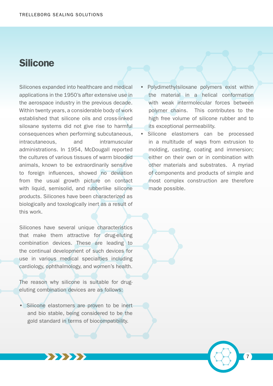### Silicone

Silicones expanded into healthcare and medical applications in the 1950's after extensive use in the aerospace industry in the previous decade. Within twenty years, a considerable body of work established that silicone oils and cross-linked siloxane systems did not give rise to harmful consequences when performing subcutaneous, intracutaneous, and intramuscular administrations. In 1954, McDougall reported the cultures of various tissues of warm blooded animals, known to be extraordinarily sensitive to foreign influences, showed no deviation from the usual growth picture on contact with liquid, semisolid, and rubberlike silicone products. Silicones have been characterized as biologically and toxologically inert as a result of this work.

Silicones have several unique characteristics that make them attractive for drug-eluting combination devices. These are leading to the continual development of such devices for use in various medical specialties including cardiology, ophthalmology, and women's health.

The reason why silicone is suitable for drugeluting combination devices are as follows:

• Silicone elastomers are proven to be inert and bio stable, being considered to be the gold standard in terms of biocompatibility.

777777

- Polydimethylsiloxane polymers exist within the material in a helical conformation with weak intermolecular forces between polymer chains. This contributes to the high free volume of silicone rubber and to its exceptional permeability.
- Silicone elastomers can be processed in a multitude of ways from extrusion to molding, casting, coating and immersion; either on their own or in combination with other materials and substrates. A myriad of components and products of simple and most complex construction are therefore made possible.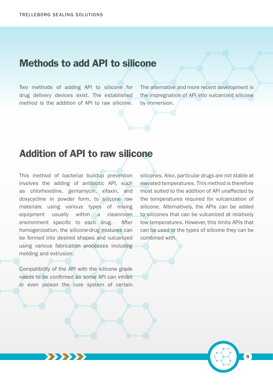#### Methods to add API to silicone

Two methods of adding API to silicone for drug delivery devices exist. The established method is the addition of API to raw silicone.

The alternative and more recent development is the impregnation of API into vulcanized silicone by immersion.

#### Addition of API to raw silicone

This method of bacterial buildup prevention involves the adding of antibiotic API, such as chlorhexidine, gentamycin, xifaxin, and doxycycline in powder form, to silicone raw materials using various types of mixing equipment usually within a cleanroom environment specific to each drug. After homogenization, the silicone-drug mixtures can be formed into desired shapes and vulcanized using various fabrication processes including molding and extrusion.

Compatibility of the API with the silicone grade needs to be confirmed as some API can inhibit or even poison the cure system of certain

**\*\*\*\*\*** 

silicones. Also, particular drugs are not stable at elevated temperatures. This method is therefore most suited to the addition of API unaffected by the temperatures required for vulcanization of silicone. Alternatively, the APIs can be added to silicones that can be vulcanized at relatively low temperatures. However, this limits APIs that can be used or the types of silicone they can be combined with.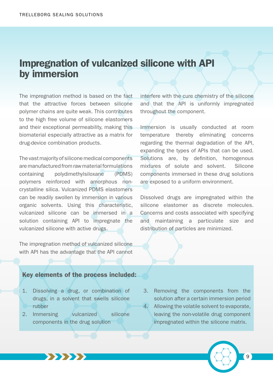### Impregnation of vulcanized silicone with API by immersion

The impregnation method is based on the fact that the attractive forces between silicone polymer chains are quite weak. This contributes to the high free volume of silicone elastomers and their exceptional permeability, making this biomaterial especially attractive as a matrix for drug-device combination products.

The vast majority of silicone medical components are manufactured from raw material formulations containing polydimethylsiloxane (PDMS) polymers reinforced with amorphous noncrystalline silica. Vulcanized PDMS elastomers can be readily swollen by immersion in various organic solvents. Using this characteristic, vulcanized silicone can be immersed in a solution containing API to impregnate the vulcanized silicone with active drugs.

The impregnation method of vulcanized silicone with API has the advantage that the API cannot

Key elements of the process included:

- 1. Dissolving a drug, or combination of drugs, in a solvent that swells silicone rubber
- 2. Immersing vulcanized silicone components in the drug solution

77777

interfere with the cure chemistry of the silicone and that the API is uniformly impregnated throughout the component.

Immersion is usually conducted at room temperature thereby eliminating concerns regarding the thermal degradation of the API, expanding the types of APIs that can be used. Solutions are, by definition, homogenous mixtures of solute and solvent. Silicone components immersed in these drug solutions are exposed to a uniform environment.

Dissolved drugs are impregnated within the silicone elastomer as discrete molecules. Concerns and costs associated with specifying and maintaining a particulate size and distribution of particles are minimized.

- 3. Removing the components from the solution after a certain immersion period
- 4. Allowing the volatile solvent to evaporate, leaving the non-volatile drug component impregnated within the silicone matrix.

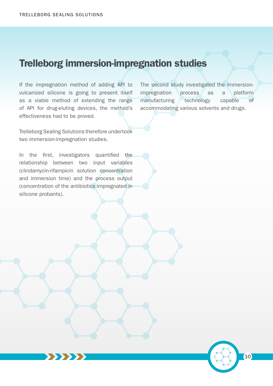#### Trelleborg immersion-impregnation studies

If the impregnation method of adding API to vulcanized silicone is going to present itself as a viable method of extending the range of API for drug-eluting devices, the method's effectiveness had to be proved.

Trelleborg Sealing Solutions therefore undertook two immersion-impregnation studies.

In the first, investigators quantified the relationship between two input variables (clindamycin-rifampicin solution concentration and immersion time) and the process output (concentration of the antibiotics impregnated in silicone probants).

 $\rightarrow$ 

The second study investigated the immersionimpregnation process as a platform manufacturing technology capable of accommodating various solvents and drugs.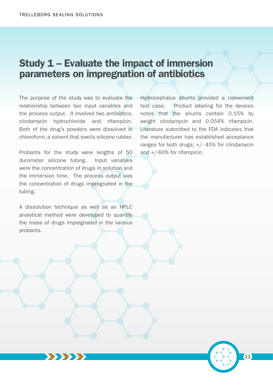### Study 1 – Evaluate the impact of immersion parameters on impregnation of antibiotics

The purpose of the study was to evaluate the relationship between two input variables and the process output. It involved two antibiotics, clindamycin hydrochloride and rifampicin. Both of the drug's powders were dissolved in chloroform, a solvent that swells silicone rubber.

Probants for the study were lengths of 50 durometer silicone tubing. Input variables were the concentration of drugs in solution and the immersion time. The process output was the concentration of drugs impregnated in the tubing.

A dissolution technique as well as an HPLC analytical method were developed to quantify the mass of drugs impregnated in the various probants.

Hydrocephalus shunts provided a convenient test case. Product labeling for the devices notes that the shunts contain 0.15% by weight clindamycin and 0.054% rifampicin. Literature submitted to the FDA indicates that the manufacturer has established acceptance ranges for both drugs; +/- 45% for clindamycin and +/-60% for rifampicin.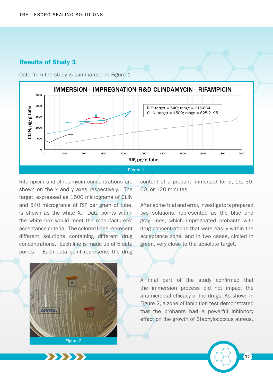#### Results of Study 1



Data from the study is summarized in Figure 1

Rifampicin and clindamycin concentrations are shown on the x and y axes respectively. The target, expressed as 1500 micrograms of CLIN and 540 micrograms of RIF per gram of tube, is shown as the white X. Data points within the white box would meet the manufacturers' acceptance criteria. The colored lines represent different solutions containing different drug concentrations. Each line is made up of 5 data points. Each data point represents the drug

content of a probant immersed for 5, 15, 30, 60, or 120 minutes.

After some trial and error, investigators prepared two solutions, represented as the blue and gray lines, which impregnated probants with drug concentrations that were easily within the acceptance zone, and in two cases, circled in green, very close to the absolute target.



 $\rightarrow$ 

A final part of the study confirmed that the immersion process did not impact the antimicrobial efficacy of the drugs. As shown in Figure 2, a zone of inhibition test demonstrated that the probants had a powerful inhibitory effect on the growth of Staphylococcus aureus.

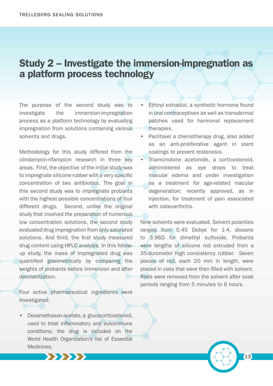### Study 2 – Investigate the immersion-impregnation as a platform process technology

The purpose of the second study was to investigate the immersion-impregnation process as a platform technology by evaluating impregnation from solutions containing various solvents and drugs.

Methodology for this study differed from the clindamycin-rifampicin research in three key areas. First, the objective of the initial study was to impregnate silicone rubber with a very specific concentration of two antibiotics. The goal in this second study was to impregnate probants with the highest possible concentrations of four different drugs. Second, unlike the original study that involved the preparation of numerous low concentration solutions, the second study evaluated drug impregnation from only saturated solutions. And third, the first study measured drug content using HPLC analysis. In this followup study, the mass of impregnated drug was quantified gravimetrically by comparing the weights of probants before immersion and after devolatilization.

Four active pharmaceutical ingredients were investigated;

• Dexamethason acetate, a glucocorticosteroid, used to treat inflammatory and autoimmune conditions; the drug is included on the World Health Organization's list of Essential **Medicines** 

777777

- Ethinyl estradiol, a synthetic hormone found in oral contraceptives as well as transdermal patches used for hormonal replacement therapies.
- Paclitaxel a chemotherapy drug, also added as an anti-proliferative agent in stent coatings to prevent restenosis.
- Triamcinolone acetonide, a corticosteroid, administered as eye drops to treat macular edema and under investigation as a treatment for age-related macular degeneration; recently approved, as in injection, for treatment of pain associated with osteoarthritis.

Nine solvents were evaluated. Solvent polarities ranged from 0.45 Debye for 1-4, dioxane to 3.96D for dimethyl sulfoxide. Probants were lengths of silicone rod extruded from a 35-durometer high consistency rubber. Seven pieces of rod, each 20 mm in length, were placed in vials that were then filled with solvent. Rods were removed from the solvent after soak periods ranging from 5 minutes to 6 hours.

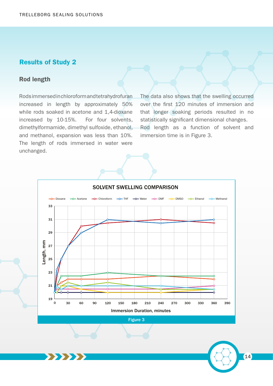#### Results of Study 2

#### Rod length

Rods immersed in chloroform and tetrahydrofuran increased in length by approximately 50% while rods soaked in acetone and 1,4-dioxane increased by 10-15%. For four solvents, dimethylformamide, dimethyl sulfoxide, ethanol, and methanol, expansion was less than 10%. The length of rods immersed in water were unchanged.

22222

The data also shows that the swelling occurred over the first 120 minutes of immersion and that longer soaking periods resulted in no statistically significant dimensional changes. Rod length as a function of solvent and immersion time is in Figure 3.



Figure 3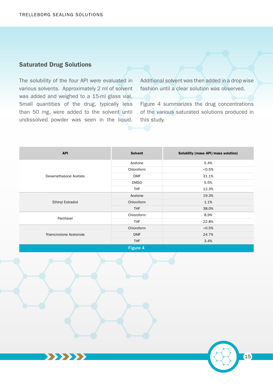#### Saturated Drug Solutions

The solubility of the four API were evaluated in various solvents. Approximately 2 ml of solvent was added and weighed to a 15-ml glass vial. Small quantities of the drug, typically less than 50 mg, were added to the solvent until undissolved powder was seen in the liquid.

 $\rightarrow$ 

Additional solvent was then added in a drop wise fashion until a clear solution was observed.

Figure 4 summarizes the drug concentrations of the various saturated solutions produced in this study.

| <b>API</b>               | <b>Solvent</b> | Solubility (mass API/mass solution) |  |  |  |  |
|--------------------------|----------------|-------------------------------------|--|--|--|--|
| Dexamethasone Acetate    | Acetone        | 5.4%                                |  |  |  |  |
|                          | Chloroform     | < 0.5%                              |  |  |  |  |
|                          | <b>DMF</b>     | 31.1%                               |  |  |  |  |
|                          | <b>DMSO</b>    | 5.5%                                |  |  |  |  |
|                          | <b>THF</b>     | 12.3%                               |  |  |  |  |
| Ethinyl Estradiol        | Acetone        | 19.3%                               |  |  |  |  |
|                          | Chloroform     | 1.1%                                |  |  |  |  |
|                          | <b>THF</b>     | 38.0%                               |  |  |  |  |
| Paclitaxel               | Chloroform     | 8.9%                                |  |  |  |  |
|                          | <b>THF</b>     | 22.8%                               |  |  |  |  |
| Triamcinolone Acetonide  | Chloroform     | < 0.5%                              |  |  |  |  |
|                          | <b>DMF</b>     | 24.7%                               |  |  |  |  |
|                          | <b>THF</b>     | 3.4%                                |  |  |  |  |
| <b>PERSONAL PROPERTY</b> |                |                                     |  |  |  |  |

Figure 4

 $\boxed{15}$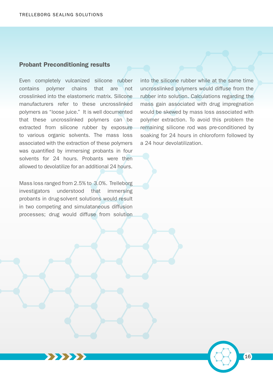#### Probant Preconditioning results

Even completely vulcanized silicone rubber contains polymer chains that are not crosslinked into the elastomeric matrix. Silicone manufacturers refer to these uncrosslinked polymers as "loose juice." It is well documented that these uncrosslinked polymers can be extracted from silicone rubber by exposure to various organic solvents. The mass loss associated with the extraction of these polymers was quantified by immersing probants in four solvents for 24 hours. Probants were then allowed to devolatilize for an additional 24 hours.

Mass loss ranged from 2.5% to 3.0%. Trelleborg investigators understood that immersing probants in drug-solvent solutions would result in two competing and simulataneous diffusion processes; drug would diffuse from solution

 $\rightarrow$ 

into the silicone rubber while at the same time uncrosslinked polymers would diffuse from the rubber into solution. Calculations regarding the mass gain associated with drug impregnation would be skewed by mass loss associated with polymer extraction. To avoid this problem the remaining silicone rod was pre-conditioned by soaking for 24 hours in chloroform followed by a 24 hour devolatilization.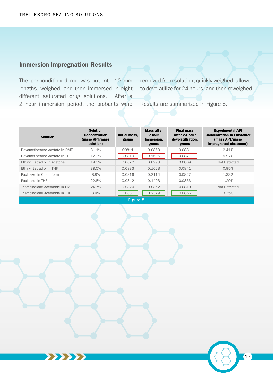#### Immersion-Impregnation Results

The pre-conditioned rod was cut into 10 mm lengths, weighed, and then immersed in eight different saturated drug solutions. After a 2 hour immersion period, the probants were

77777

removed from solution, quickly weighed, allowed to devolatilize for 24 hours, and then reweighed.

Results are summarized in Figure 5.

| <b>Solution</b>                | <b>Solution</b><br><b>Concentration</b><br>(mass API/mass<br>solution) | Initial mass.<br>grams | <b>Mass after</b><br>2 hour<br>Immersion,<br>grams | <b>Final mass</b><br>after 24 hour<br>devolatilization,<br>grams | <b>Experimental API</b><br><b>Concentration in Elastomer</b><br>(mass API/mass<br>impregnated elastomer) |  |  |
|--------------------------------|------------------------------------------------------------------------|------------------------|----------------------------------------------------|------------------------------------------------------------------|----------------------------------------------------------------------------------------------------------|--|--|
| Dexamethasone Acetate in DMF   | 31.1%                                                                  | 00811                  | 0.0860                                             | 0.0831                                                           | 2.41%                                                                                                    |  |  |
| Dexamethasone Acetate in THF   | 12.3%                                                                  | 0.0819                 | 0.1606                                             | 0.0871                                                           | 5.97%                                                                                                    |  |  |
| Ethinyl Estradiol in Acetone   | 19.3%                                                                  | 0.0872                 | 0.0998                                             | 0.0869                                                           | Not Detected                                                                                             |  |  |
| Ethinyl Estradiol in THF       | 38.0%                                                                  | 0.0833                 | 0.1023                                             | 0.0841                                                           | 0.95%                                                                                                    |  |  |
| Paclitaxel in Chloroform       | 8.9%                                                                   | 0.0816                 | 0.2114                                             | 0.0827                                                           | 1.33%                                                                                                    |  |  |
| Paclitaxel in THF              | 22.8%                                                                  | 0.0842                 | 0.1493                                             | 0.0853                                                           | 1.29%                                                                                                    |  |  |
| Triamcinolone Acetonide in DMF | 24.7%                                                                  | 0.0820                 | 0.0852                                             | 0.0819                                                           | Not Detected                                                                                             |  |  |
| Triamcinolone Acetonide in THF | 3.4%                                                                   | 0.0837                 | 0.2379                                             | 0.0866                                                           | 3.35%                                                                                                    |  |  |
|                                |                                                                        |                        |                                                    |                                                                  |                                                                                                          |  |  |

neure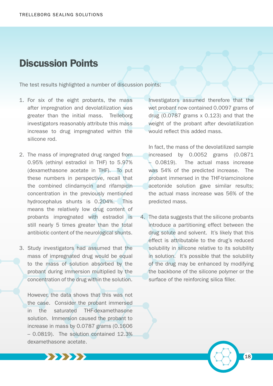#### Discussion Points

The test results highlighted a number of discussion points:

- 1. For six of the eight probants, the mass after impregnation and devolatilization was greater than the initial mass. Trelleborg investigators reasonably attribute this mass increase to drug impregnated within the silicone rod.
- 2. The mass of impregnated drug ranged from 0.95% (ethinyl estradiol in THF) to 5.97% (dexamethasone acetate in THF). To put these numbers in perspective, recall that the combined clindamycin and rifampicin concentration in the previously mentioned hydrocephalus shunts is 0.204%. This means the relatively low drug content of probants impregnated with estradiol is still nearly 5 times greater than the total antibiotic content of the neurological shunts.
- 3. Study investigators had assumed that the mass of impregnated drug would be equal to the mass of solution absorbed by the probant during immersion multiplied by the concentration of the drug within the solution.

However, the data shows that this was not the case. Consider the probant immersed in the saturated THF-dexamethasone solution. Immersion caused the probant to increase in mass by 0.0787 grams (0.1606 – 0.0819). The solution contained 12.3% dexamethasone acetate.

777777

Investigators assumed therefore that the wet probant now contained 0.0097 grams of drug (0.0787 grams x 0.123) and that the weight of the probant after devolatilization would reflect this added mass.

In fact, the mass of the devolatilized sample increased by 0.0052 grams (0.0871 – 0.0819). The actual mass increase was 54% of the predicted increase. The probant immersed in the THF-triamcinolone acetonide solution gave similar results; the actual mass increase was 56% of the predicted mass.

4. The data suggests that the silicone probants introduce a partitioning effect between the drug solute and solvent. It's likely that this effect is attributable to the drug's reduced solubility in silicone relative to its solubility in solution. It's possible that the solubility of the drug may be enhanced by modifying the backbone of the silicone polymer or the surface of the reinforcing silica filler.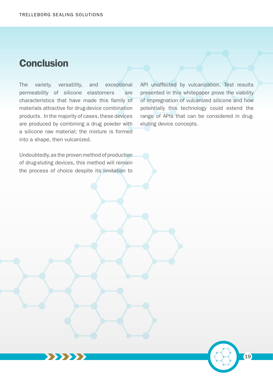## **Conclusion**

The variety, versatility, and exceptional permeability of silicone elastomers are characteristics that have made this family of materials attractive for drug-device combination products. In the majority of cases, these devices are produced by combining a drug powder with a silicone raw material; the mixture is formed into a shape, then vulcanized.

API unaffected by vulcanization. Test results presented in this whitepaper prove the viability of impregnation of vulcanized silicone and how potentially this technology could extend the range of APIs that can be considered in drugeluting device concepts.

19

Undoubtedly, as the proven method of production of drug-eluting devices, this method will remain the process of choice despite its limitation to